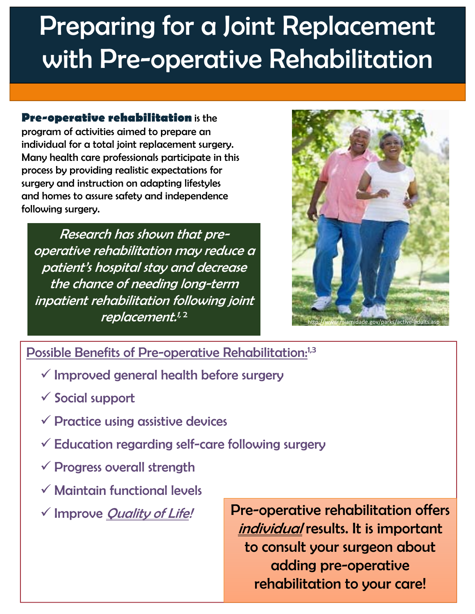# Preparing for a Joint Replacement with Pre-operative Rehabilitation

**Pre-operative rehabilitation** is the program of activities aimed to prepare an individual for a total joint replacement surgery. Many health care professionals participate in this process by providing realistic expectations for surgery and instruction on adapting lifestyles and homes to assure safety and independence following surgery.

Research has shown that preoperative rehabilitation may reduce a patient's hospital stay and decrease the chance of needing long-term inpatient rehabilitation following joint replacement.<sup>1,2</sup>



## Possible Benefits of Pre-operative Rehabilitation:<sup>1,3</sup>

- $\checkmark$  Improved general health before surgery
- $\checkmark$  Social support
- $\checkmark$  Practice using assistive devices
- $\checkmark$  Education regarding self-care following surgery
- $\checkmark$  Progress overall strength
- $\checkmark$  Maintain functional levels
- $\checkmark$  Improve Quality of Life!

the contract of the contract of the contract of

Pre-operative rehabilitation offers individual results. It is important to consult your surgeon about adding pre-operative rehabilitation to your care!